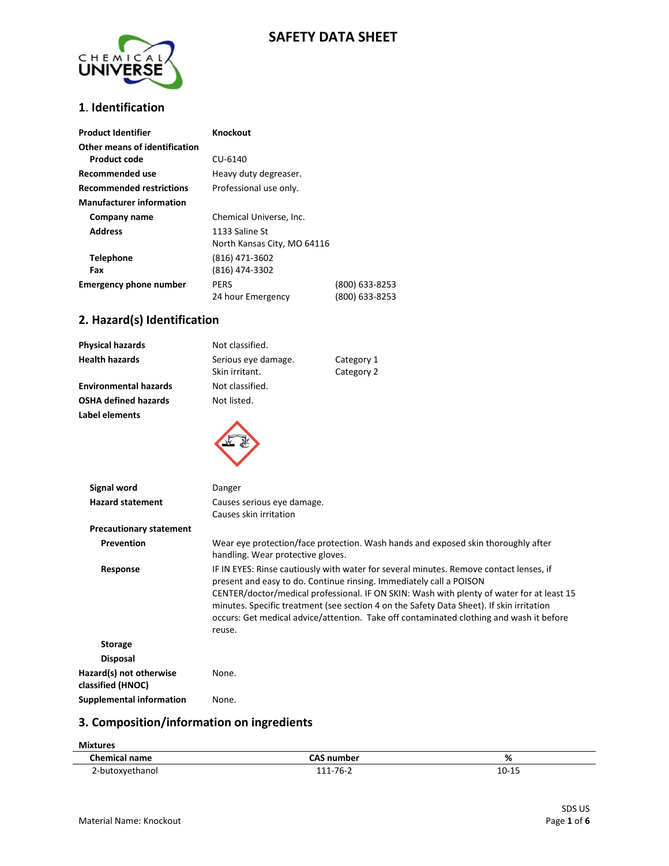# **SAFETY DATA SHEET**



## **1**. **Identification**

| <b>Product Identifier</b>       | Knockout                    |                |
|---------------------------------|-----------------------------|----------------|
| Other means of identification   |                             |                |
| Product code                    | CU-6140                     |                |
| Recommended use                 | Heavy duty degreaser.       |                |
| <b>Recommended restrictions</b> | Professional use only.      |                |
| <b>Manufacturer information</b> |                             |                |
| Company name                    | Chemical Universe, Inc.     |                |
| <b>Address</b>                  | 1133 Saline St              |                |
|                                 | North Kansas City, MO 64116 |                |
| <b>Telephone</b>                | (816) 471-3602              |                |
| Fax                             | (816) 474-3302              |                |
| <b>Emergency phone number</b>   | PERS                        | (800) 633-8253 |
|                                 | 24 hour Emergency           | (800) 633-8253 |

## **2. Hazard(s) Identification**

| <b>Physical hazards</b>                      | Not classified.                                      |                                                                                                                                                                                                                                                                                                                                                                                                                                                   |
|----------------------------------------------|------------------------------------------------------|---------------------------------------------------------------------------------------------------------------------------------------------------------------------------------------------------------------------------------------------------------------------------------------------------------------------------------------------------------------------------------------------------------------------------------------------------|
| <b>Health hazards</b>                        | Serious eye damage.<br>Skin irritant.                | Category 1<br>Category 2                                                                                                                                                                                                                                                                                                                                                                                                                          |
| <b>Environmental hazards</b>                 | Not classified.                                      |                                                                                                                                                                                                                                                                                                                                                                                                                                                   |
| <b>OSHA defined hazards</b>                  | Not listed.                                          |                                                                                                                                                                                                                                                                                                                                                                                                                                                   |
| Label elements                               |                                                      |                                                                                                                                                                                                                                                                                                                                                                                                                                                   |
| <b>Signal word</b>                           | Danger                                               |                                                                                                                                                                                                                                                                                                                                                                                                                                                   |
| <b>Hazard statement</b>                      | Causes serious eye damage.<br>Causes skin irritation |                                                                                                                                                                                                                                                                                                                                                                                                                                                   |
| <b>Precautionary statement</b>               |                                                      |                                                                                                                                                                                                                                                                                                                                                                                                                                                   |
| Prevention                                   | handling. Wear protective gloves.                    | Wear eye protection/face protection. Wash hands and exposed skin thoroughly after                                                                                                                                                                                                                                                                                                                                                                 |
| Response                                     | reuse.                                               | IF IN EYES: Rinse cautiously with water for several minutes. Remove contact lenses, if<br>present and easy to do. Continue rinsing. Immediately call a POISON<br>CENTER/doctor/medical professional. IF ON SKIN: Wash with plenty of water for at least 15<br>minutes. Specific treatment (see section 4 on the Safety Data Sheet). If skin irritation<br>occurs: Get medical advice/attention. Take off contaminated clothing and wash it before |
| <b>Storage</b>                               |                                                      |                                                                                                                                                                                                                                                                                                                                                                                                                                                   |
| <b>Disposal</b>                              |                                                      |                                                                                                                                                                                                                                                                                                                                                                                                                                                   |
| Hazard(s) not otherwise<br>classified (HNOC) | None.                                                |                                                                                                                                                                                                                                                                                                                                                                                                                                                   |
| <b>Supplemental information</b>              | None.                                                |                                                                                                                                                                                                                                                                                                                                                                                                                                                   |

## **3. Composition/information on ingredients**

| <b>Mixtures</b>      |                   |           |
|----------------------|-------------------|-----------|
| <b>Chemical name</b> | <b>CAS number</b> | %         |
| 2-butoxyethanol      | 111-76-2          | $10 - 15$ |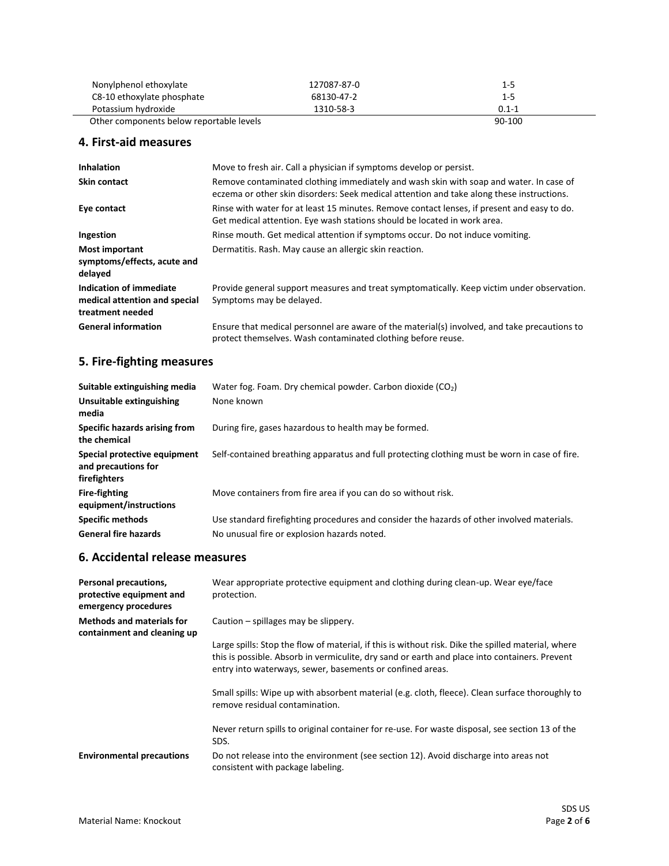| Nonylphenol ethoxylate                   | 127087-87-0 | $1 - 5$   |
|------------------------------------------|-------------|-----------|
| C8-10 ethoxylate phosphate               | 68130-47-2  | $1 - 5$   |
| Potassium hydroxide                      | 1310-58-3   | $0.1 - 1$ |
| Other components below reportable levels |             | 90-100    |

## **4. First-aid measures**

| <b>Inhalation</b>                                                            | Move to fresh air. Call a physician if symptoms develop or persist.                                                                                                                 |
|------------------------------------------------------------------------------|-------------------------------------------------------------------------------------------------------------------------------------------------------------------------------------|
| <b>Skin contact</b>                                                          | Remove contaminated clothing immediately and wash skin with soap and water. In case of<br>eczema or other skin disorders: Seek medical attention and take along these instructions. |
| Eye contact                                                                  | Rinse with water for at least 15 minutes. Remove contact lenses, if present and easy to do.<br>Get medical attention. Eye wash stations should be located in work area.             |
| Ingestion                                                                    | Rinse mouth. Get medical attention if symptoms occur. Do not induce vomiting.                                                                                                       |
| <b>Most important</b><br>symptoms/effects, acute and<br>delayed              | Dermatitis. Rash. May cause an allergic skin reaction.                                                                                                                              |
| Indication of immediate<br>medical attention and special<br>treatment needed | Provide general support measures and treat symptomatically. Keep victim under observation.<br>Symptoms may be delayed.                                                              |
| <b>General information</b>                                                   | Ensure that medical personnel are aware of the material(s) involved, and take precautions to<br>protect themselves. Wash contaminated clothing before reuse.                        |

# **5. Fire-fighting measures**

| Suitable extinguishing media                                        | Water fog. Foam. Dry chemical powder. Carbon dioxide $(CO2)$                                  |
|---------------------------------------------------------------------|-----------------------------------------------------------------------------------------------|
| Unsuitable extinguishing<br>media                                   | None known                                                                                    |
| Specific hazards arising from<br>the chemical                       | During fire, gases hazardous to health may be formed.                                         |
| Special protective equipment<br>and precautions for<br>firefighters | Self-contained breathing apparatus and full protecting clothing must be worn in case of fire. |
| <b>Fire-fighting</b><br>equipment/instructions                      | Move containers from fire area if you can do so without risk.                                 |
| <b>Specific methods</b>                                             | Use standard firefighting procedures and consider the hazards of other involved materials.    |
| <b>General fire hazards</b>                                         | No unusual fire or explosion hazards noted.                                                   |

#### **6. Accidental release measures**

| Personal precautions,<br>protective equipment and<br>emergency procedures | Wear appropriate protective equipment and clothing during clean-up. Wear eye/face<br>protection.                                                                                                                                                                 |
|---------------------------------------------------------------------------|------------------------------------------------------------------------------------------------------------------------------------------------------------------------------------------------------------------------------------------------------------------|
| <b>Methods and materials for</b><br>containment and cleaning up           | Caution $-$ spillages may be slippery.                                                                                                                                                                                                                           |
|                                                                           | Large spills: Stop the flow of material, if this is without risk. Dike the spilled material, where<br>this is possible. Absorb in vermiculite, dry sand or earth and place into containers. Prevent<br>entry into waterways, sewer, basements or confined areas. |
|                                                                           | Small spills: Wipe up with absorbent material (e.g. cloth, fleece). Clean surface thoroughly to<br>remove residual contamination.                                                                                                                                |
|                                                                           | Never return spills to original container for re-use. For waste disposal, see section 13 of the<br>SDS.                                                                                                                                                          |
| <b>Environmental precautions</b>                                          | Do not release into the environment (see section 12). Avoid discharge into areas not<br>consistent with package labeling.                                                                                                                                        |
|                                                                           |                                                                                                                                                                                                                                                                  |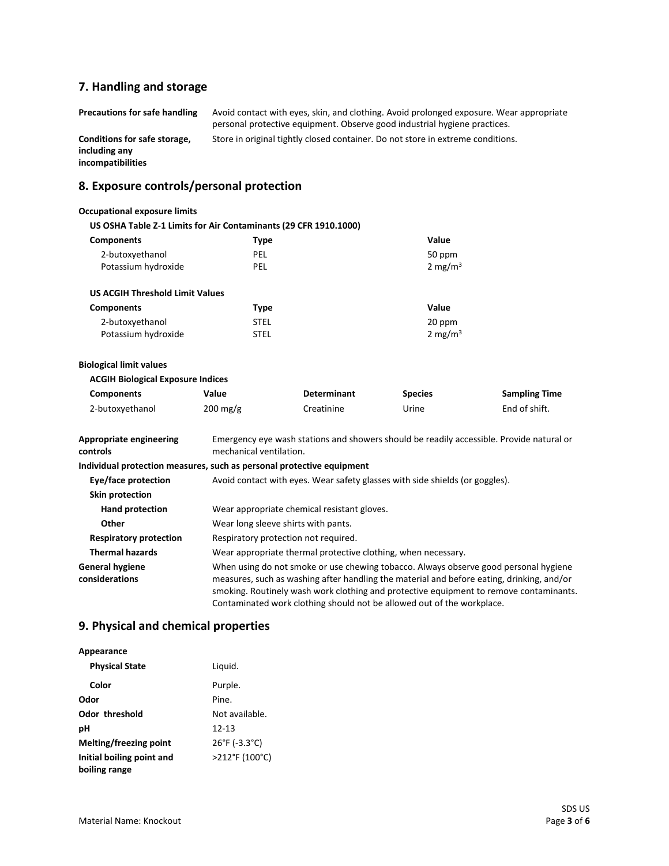# **7. Handling and storage**

| <b>Precautions for safe handling</b>                               | Avoid contact with eyes, skin, and clothing. Avoid prolonged exposure. Wear appropriate<br>personal protective equipment. Observe good industrial hygiene practices. |
|--------------------------------------------------------------------|----------------------------------------------------------------------------------------------------------------------------------------------------------------------|
| Conditions for safe storage,<br>including any<br>incompatibilities | Store in original tightly closed container. Do not store in extreme conditions.                                                                                      |
| 8. Exposure controls/personal protection                           |                                                                                                                                                                      |
| <b>Occupational exposure limits</b>                                |                                                                                                                                                                      |

| US OSHA Table Z-1 Limits for Air Contaminants (29 CFR 1910.1000)      |                                                                                                                     |                                                                              |                     |                                                                                                                                                                                                                                                                             |
|-----------------------------------------------------------------------|---------------------------------------------------------------------------------------------------------------------|------------------------------------------------------------------------------|---------------------|-----------------------------------------------------------------------------------------------------------------------------------------------------------------------------------------------------------------------------------------------------------------------------|
| <b>Components</b>                                                     | <b>Type</b>                                                                                                         |                                                                              | Value               |                                                                                                                                                                                                                                                                             |
| 2-butoxyethanol                                                       | <b>PEL</b>                                                                                                          |                                                                              | 50 ppm              |                                                                                                                                                                                                                                                                             |
| Potassium hydroxide                                                   | PEL                                                                                                                 |                                                                              | 2 mg/m <sup>3</sup> |                                                                                                                                                                                                                                                                             |
| <b>US ACGIH Threshold Limit Values</b>                                |                                                                                                                     |                                                                              |                     |                                                                                                                                                                                                                                                                             |
| <b>Components</b>                                                     | <b>Type</b>                                                                                                         |                                                                              | Value               |                                                                                                                                                                                                                                                                             |
| 2-butoxyethanol                                                       | <b>STEL</b>                                                                                                         |                                                                              | 20 ppm              |                                                                                                                                                                                                                                                                             |
| Potassium hydroxide                                                   | <b>STEL</b>                                                                                                         |                                                                              | 2 mg/m <sup>3</sup> |                                                                                                                                                                                                                                                                             |
| <b>Biological limit values</b>                                        |                                                                                                                     |                                                                              |                     |                                                                                                                                                                                                                                                                             |
| <b>ACGIH Biological Exposure Indices</b>                              |                                                                                                                     |                                                                              |                     |                                                                                                                                                                                                                                                                             |
| <b>Components</b>                                                     | Value                                                                                                               | <b>Determinant</b>                                                           | <b>Species</b>      | <b>Sampling Time</b>                                                                                                                                                                                                                                                        |
| 2-butoxyethanol                                                       | $200 \,\mathrm{mg/g}$                                                                                               | Creatinine                                                                   | Urine               | End of shift.                                                                                                                                                                                                                                                               |
| <b>Appropriate engineering</b><br>controls                            | Emergency eye wash stations and showers should be readily accessible. Provide natural or<br>mechanical ventilation. |                                                                              |                     |                                                                                                                                                                                                                                                                             |
| Individual protection measures, such as personal protective equipment |                                                                                                                     |                                                                              |                     |                                                                                                                                                                                                                                                                             |
| Eye/face protection                                                   |                                                                                                                     | Avoid contact with eyes. Wear safety glasses with side shields (or goggles). |                     |                                                                                                                                                                                                                                                                             |
| <b>Skin protection</b>                                                |                                                                                                                     |                                                                              |                     |                                                                                                                                                                                                                                                                             |
| <b>Hand protection</b>                                                | Wear appropriate chemical resistant gloves.                                                                         |                                                                              |                     |                                                                                                                                                                                                                                                                             |
| Other                                                                 |                                                                                                                     | Wear long sleeve shirts with pants.                                          |                     |                                                                                                                                                                                                                                                                             |
| <b>Respiratory protection</b>                                         |                                                                                                                     | Respiratory protection not required.                                         |                     |                                                                                                                                                                                                                                                                             |
| <b>Thermal hazards</b>                                                |                                                                                                                     | Wear appropriate thermal protective clothing, when necessary.                |                     |                                                                                                                                                                                                                                                                             |
| <b>General hygiene</b><br>considerations                              |                                                                                                                     | Contaminated work clothing should not be allowed out of the workplace.       |                     | When using do not smoke or use chewing tobacco. Always observe good personal hygiene<br>measures, such as washing after handling the material and before eating, drinking, and/or<br>smoking. Routinely wash work clothing and protective equipment to remove contaminants. |

## **9. Physical and chemical properties**

**Appearance**

| <b>Physical State</b>     | Liquid.                            |
|---------------------------|------------------------------------|
| Color                     | Purple.                            |
| Odor                      | Pine.                              |
| Odor threshold            | Not available.                     |
| рH                        | $12 - 13$                          |
| Melting/freezing point    | $26^{\circ}$ F (-3.3 $^{\circ}$ C) |
| Initial boiling point and | >212°F (100°C)                     |
| boiling range             |                                    |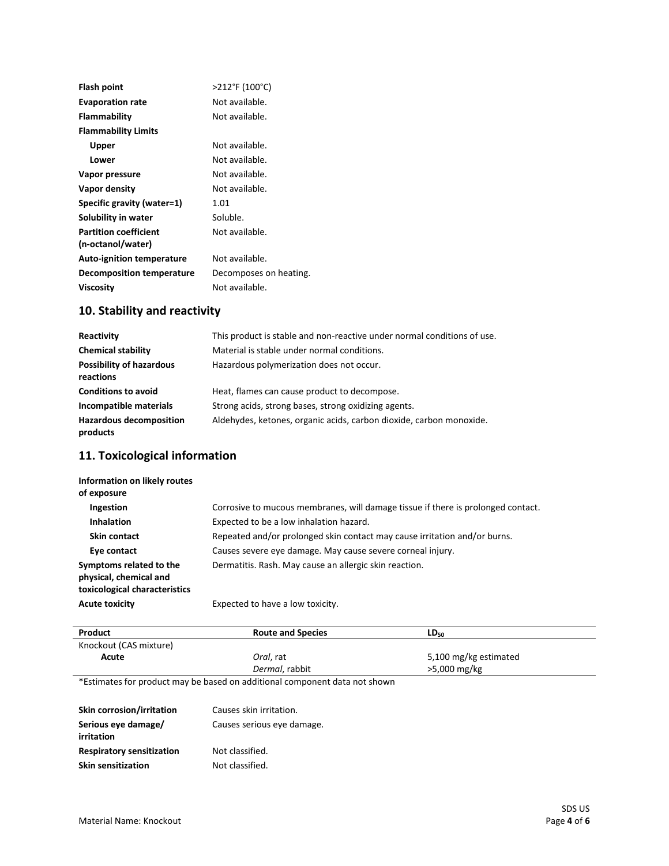| Flash point                                       | >212°F (100°C)         |
|---------------------------------------------------|------------------------|
| <b>Evaporation rate</b>                           | Not available.         |
| Flammability                                      | Not available.         |
| <b>Flammability Limits</b>                        |                        |
| Upper                                             | Not available.         |
| Lower                                             | Not available.         |
| Vapor pressure                                    | Not available.         |
| Vapor density                                     | Not available.         |
| Specific gravity (water=1)                        | 1.01                   |
| Solubility in water                               | Soluble.               |
| <b>Partition coefficient</b><br>(n-octanol/water) | Not available.         |
| <b>Auto-ignition temperature</b>                  | Not available.         |
| Decomposition temperature                         | Decomposes on heating. |
| <b>Viscosity</b>                                  | Not available.         |
|                                                   |                        |

## **10. Stability and reactivity**

| Reactivity                                   | This product is stable and non-reactive under normal conditions of use. |
|----------------------------------------------|-------------------------------------------------------------------------|
| <b>Chemical stability</b>                    | Material is stable under normal conditions.                             |
| <b>Possibility of hazardous</b><br>reactions | Hazardous polymerization does not occur.                                |
| <b>Conditions to avoid</b>                   | Heat, flames can cause product to decompose.                            |
| Incompatible materials                       | Strong acids, strong bases, strong oxidizing agents.                    |
| <b>Hazardous decomposition</b><br>products   | Aldehydes, ketones, organic acids, carbon dioxide, carbon monoxide.     |

## **11. Toxicological information**

| Information on likely routes<br>of exposure                                        |                                                                                  |
|------------------------------------------------------------------------------------|----------------------------------------------------------------------------------|
| Ingestion                                                                          | Corrosive to mucous membranes, will damage tissue if there is prolonged contact. |
| <b>Inhalation</b>                                                                  | Expected to be a low inhalation hazard.                                          |
| Skin contact                                                                       | Repeated and/or prolonged skin contact may cause irritation and/or burns.        |
| Eye contact                                                                        | Causes severe eye damage. May cause severe corneal injury.                       |
| Symptoms related to the<br>physical, chemical and<br>toxicological characteristics | Dermatitis. Rash. May cause an allergic skin reaction.                           |
| <b>Acute toxicity</b>                                                              | Expected to have a low toxicity.                                                 |

| Product                | <b>Route and Species</b> | LD <sub>50</sub>      |
|------------------------|--------------------------|-----------------------|
| Knockout (CAS mixture) |                          |                       |
| Acute                  | Oral. rat                | 5,100 mg/kg estimated |
|                        | Dermal, rabbit           | >5,000 mg/kg          |

\*Estimates for product may be based on additional component data not shown

| Skin corrosion/irritation         | Causes skin irritation.    |
|-----------------------------------|----------------------------|
| Serious eye damage/<br>irritation | Causes serious eye damage. |
| <b>Respiratory sensitization</b>  | Not classified.            |
| <b>Skin sensitization</b>         | Not classified.            |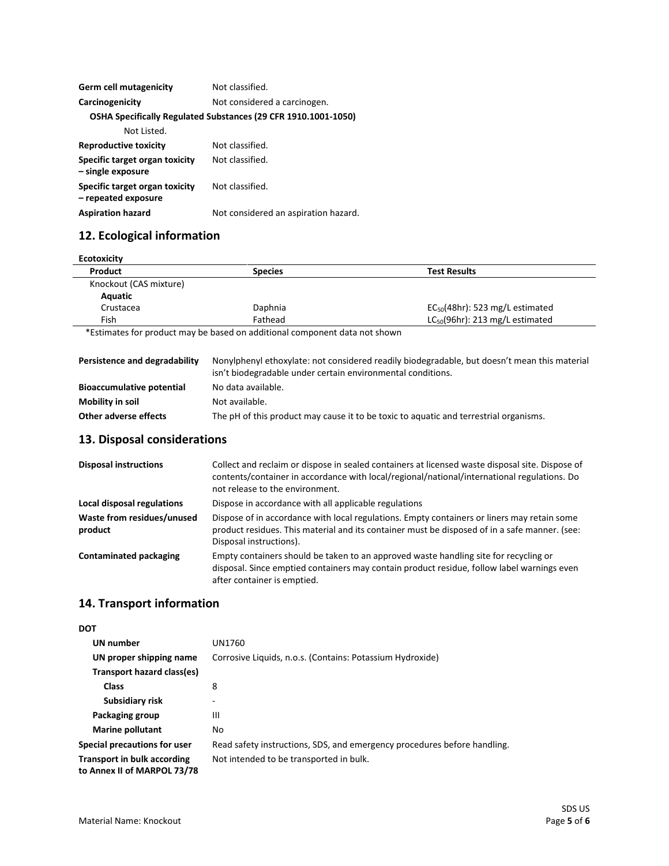| <b>Germ cell mutagenicity</b>                         | Not classified.                                                |
|-------------------------------------------------------|----------------------------------------------------------------|
| Carcinogenicity                                       | Not considered a carcinogen.                                   |
|                                                       | OSHA Specifically Regulated Substances (29 CFR 1910.1001-1050) |
| Not Listed.                                           |                                                                |
| <b>Reproductive toxicity</b>                          | Not classified.                                                |
| Specific target organ toxicity<br>- single exposure   | Not classified.                                                |
| Specific target organ toxicity<br>- repeated exposure | Not classified.                                                |
| <b>Aspiration hazard</b>                              | Not considered an aspiration hazard.                           |
|                                                       |                                                                |

# **12. Ecological information**

| <b>Ecotoxicity</b> |                                      |  |
|--------------------|--------------------------------------|--|
| <b>Species</b>     | <b>Test Results</b>                  |  |
|                    |                                      |  |
|                    |                                      |  |
| Daphnia            | $EC_{50}(48hr)$ : 523 mg/L estimated |  |
| Fathead            | $LC_{50}(96hr)$ : 213 mg/L estimated |  |
|                    |                                      |  |

\*Estimates for product may be based on additional component data not shown

| Persistence and degradability    | Nonylphenyl ethoxylate: not considered readily biodegradable, but doesn't mean this material<br>isn't biodegradable under certain environmental conditions. |
|----------------------------------|-------------------------------------------------------------------------------------------------------------------------------------------------------------|
| <b>Bioaccumulative potential</b> | No data available.                                                                                                                                          |
| Mobility in soil                 | Not available.                                                                                                                                              |
| Other adverse effects            | The pH of this product may cause it to be toxic to aquatic and terrestrial organisms.                                                                       |

#### **13. Disposal considerations**

| <b>Disposal instructions</b>          | Collect and reclaim or dispose in sealed containers at licensed waste disposal site. Dispose of<br>contents/container in accordance with local/regional/national/international regulations. Do<br>not release to the environment. |
|---------------------------------------|-----------------------------------------------------------------------------------------------------------------------------------------------------------------------------------------------------------------------------------|
| Local disposal regulations            | Dispose in accordance with all applicable regulations                                                                                                                                                                             |
| Waste from residues/unused<br>product | Dispose of in accordance with local regulations. Empty containers or liners may retain some<br>product residues. This material and its container must be disposed of in a safe manner. (see:<br>Disposal instructions).           |
| <b>Contaminated packaging</b>         | Empty containers should be taken to an approved waste handling site for recycling or<br>disposal. Since emptied containers may contain product residue, follow label warnings even<br>after container is emptied.                 |

#### **14. Transport information**

| UN number       |
|-----------------|
| UN proper shipp |
| Transport hazar |
| Class           |

**DOT**

 **UN number** UN1760 **Ding name** Corrosive Liquids, n.o.s. (Contains: Potassium Hydroxide) d class(es)  **Class** 8  **Subsidiary risk** - **Packaging group III Marine pollutant** No **Special precautions for user** Read safety instructions, SDS, and emergency procedures before handling. **Transport in bulk according to Annex II of MARPOL 73/78**  Not intended to be transported in bulk.